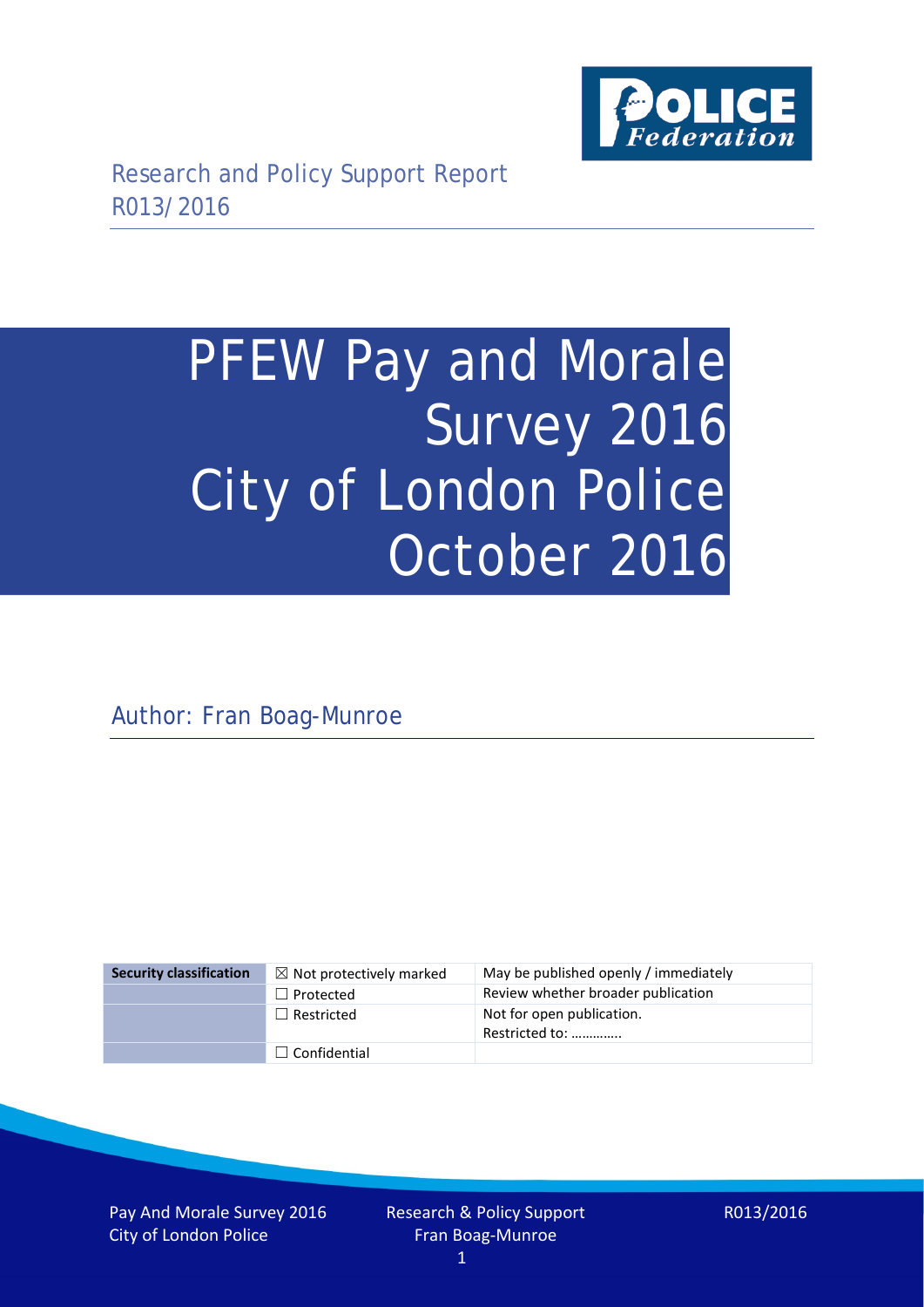

# PFEW Pay and Morale Survey 2016 City of London Police October 2016

Author: Fran Boag-Munroe

| <b>Security classification</b> | $\boxtimes$ Not protectively marked | May be published openly / immediately       |
|--------------------------------|-------------------------------------|---------------------------------------------|
|                                | $\Box$ Protected                    | Review whether broader publication          |
|                                | $\Box$ Restricted                   | Not for open publication.<br>Restricted to: |
|                                | $\Box$ Confidential                 |                                             |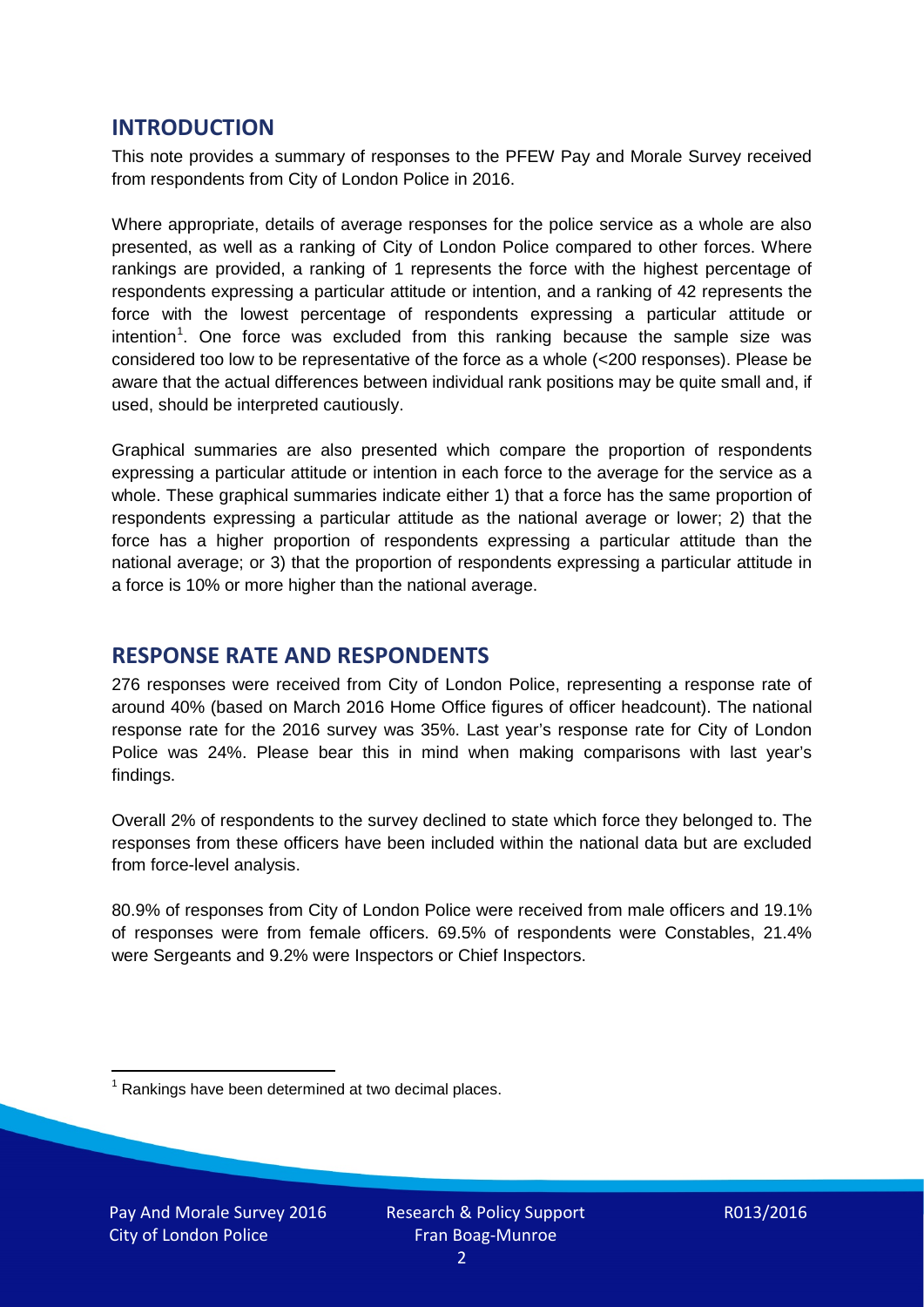## **INTRODUCTION**

This note provides a summary of responses to the PFEW Pay and Morale Survey received from respondents from City of London Police in 2016.

Where appropriate, details of average responses for the police service as a whole are also presented, as well as a ranking of City of London Police compared to other forces. Where rankings are provided, a ranking of 1 represents the force with the highest percentage of respondents expressing a particular attitude or intention, and a ranking of 42 represents the force with the lowest percentage of respondents expressing a particular attitude or intention<sup>[1](#page-1-0)</sup>. One force was excluded from this ranking because the sample size was considered too low to be representative of the force as a whole (<200 responses). Please be aware that the actual differences between individual rank positions may be quite small and, if used, should be interpreted cautiously.

Graphical summaries are also presented which compare the proportion of respondents expressing a particular attitude or intention in each force to the average for the service as a whole. These graphical summaries indicate either 1) that a force has the same proportion of respondents expressing a particular attitude as the national average or lower; 2) that the force has a higher proportion of respondents expressing a particular attitude than the national average; or 3) that the proportion of respondents expressing a particular attitude in a force is 10% or more higher than the national average.

## **RESPONSE RATE AND RESPONDENTS**

276 responses were received from City of London Police, representing a response rate of around 40% (based on March 2016 Home Office figures of officer headcount). The national response rate for the 2016 survey was 35%. Last year's response rate for City of London Police was 24%. Please bear this in mind when making comparisons with last year's findings.

Overall 2% of respondents to the survey declined to state which force they belonged to. The responses from these officers have been included within the national data but are excluded from force-level analysis.

80.9% of responses from City of London Police were received from male officers and 19.1% of responses were from female officers. 69.5% of respondents were Constables, 21.4% were Sergeants and 9.2% were Inspectors or Chief Inspectors.

<span id="page-1-0"></span> $1$  Rankings have been determined at two decimal places.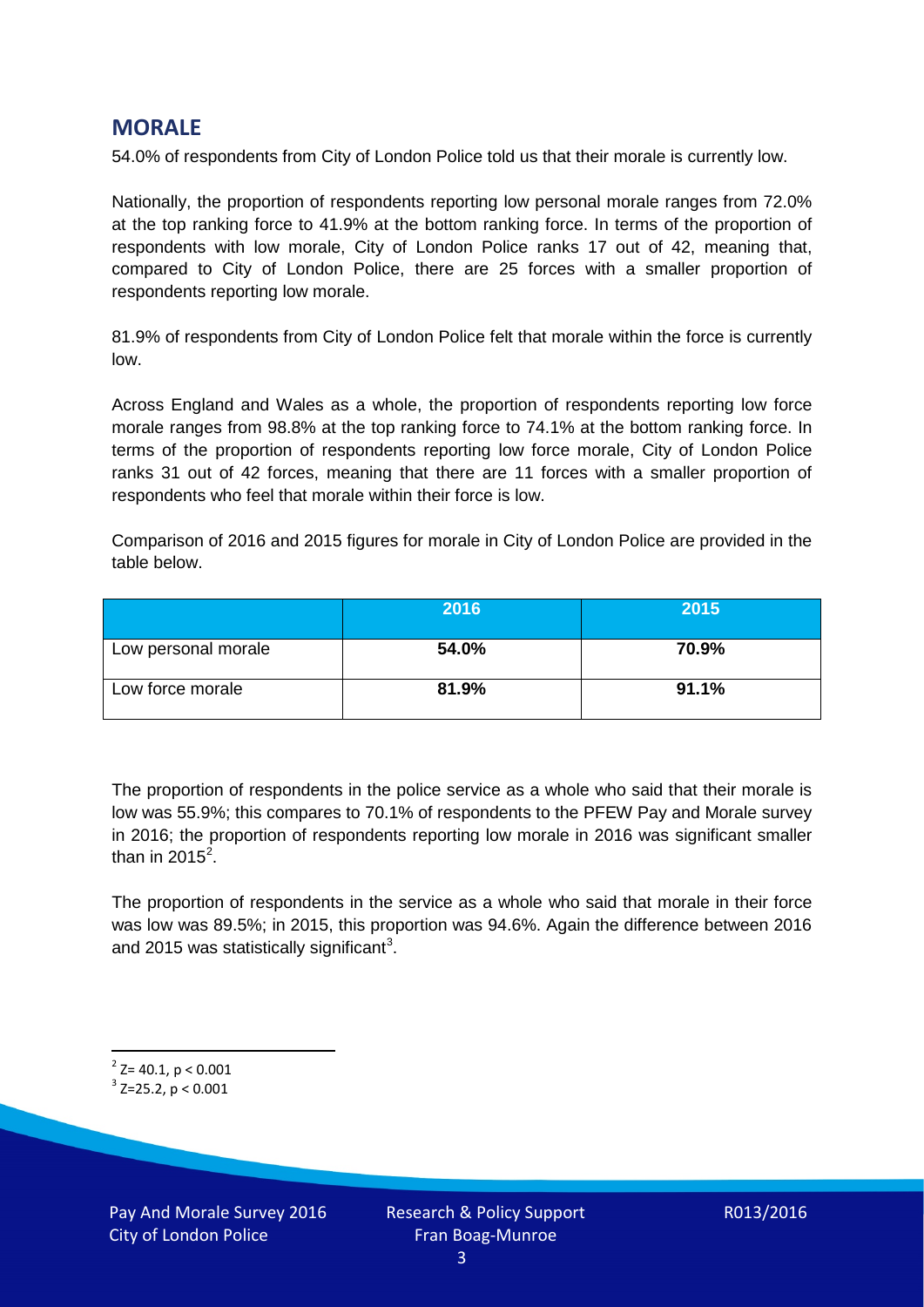## **MORALE**

54.0% of respondents from City of London Police told us that their morale is currently low.

Nationally, the proportion of respondents reporting low personal morale ranges from 72.0% at the top ranking force to 41.9% at the bottom ranking force. In terms of the proportion of respondents with low morale, City of London Police ranks 17 out of 42, meaning that, compared to City of London Police, there are 25 forces with a smaller proportion of respondents reporting low morale.

81.9% of respondents from City of London Police felt that morale within the force is currently low.

Across England and Wales as a whole, the proportion of respondents reporting low force morale ranges from 98.8% at the top ranking force to 74.1% at the bottom ranking force. In terms of the proportion of respondents reporting low force morale, City of London Police ranks 31 out of 42 forces, meaning that there are 11 forces with a smaller proportion of respondents who feel that morale within their force is low.

Comparison of 2016 and 2015 figures for morale in City of London Police are provided in the table below.

|                     | 2016  | 2015  |
|---------------------|-------|-------|
| Low personal morale | 54.0% | 70.9% |
| Low force morale    | 81.9% | 91.1% |

The proportion of respondents in the police service as a whole who said that their morale is low was 55.9%; this compares to 70.1% of respondents to the PFEW Pay and Morale survey in 2016; the proportion of respondents reporting low morale in 2016 was significant smaller than in [2](#page-2-0)015 $^2$ .

The proportion of respondents in the service as a whole who said that morale in their force was low was 89.5%; in 2015, this proportion was 94.6%. Again the difference between 2016 and 2015 was statistically significant<sup>[3](#page-2-1)</sup>.

<span id="page-2-0"></span> $2$ <sup>2</sup> Z= 40.1, p < 0.001

<span id="page-2-1"></span> $3$  Z=25.2, p < 0.001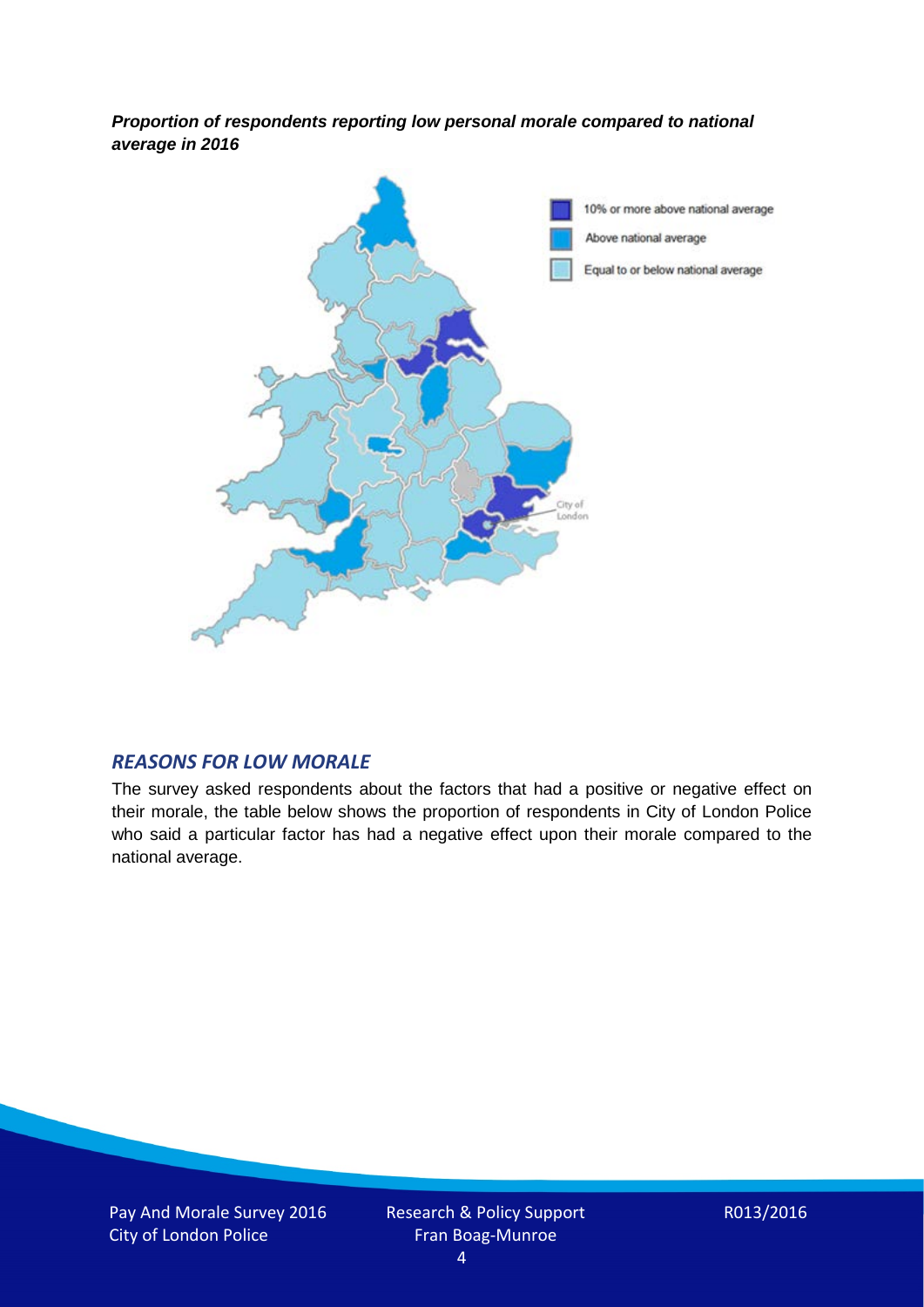*Proportion of respondents reporting low personal morale compared to national average in 2016*



#### *REASONS FOR LOW MORALE*

The survey asked respondents about the factors that had a positive or negative effect on their morale, the table below shows the proportion of respondents in City of London Police who said a particular factor has had a negative effect upon their morale compared to the national average.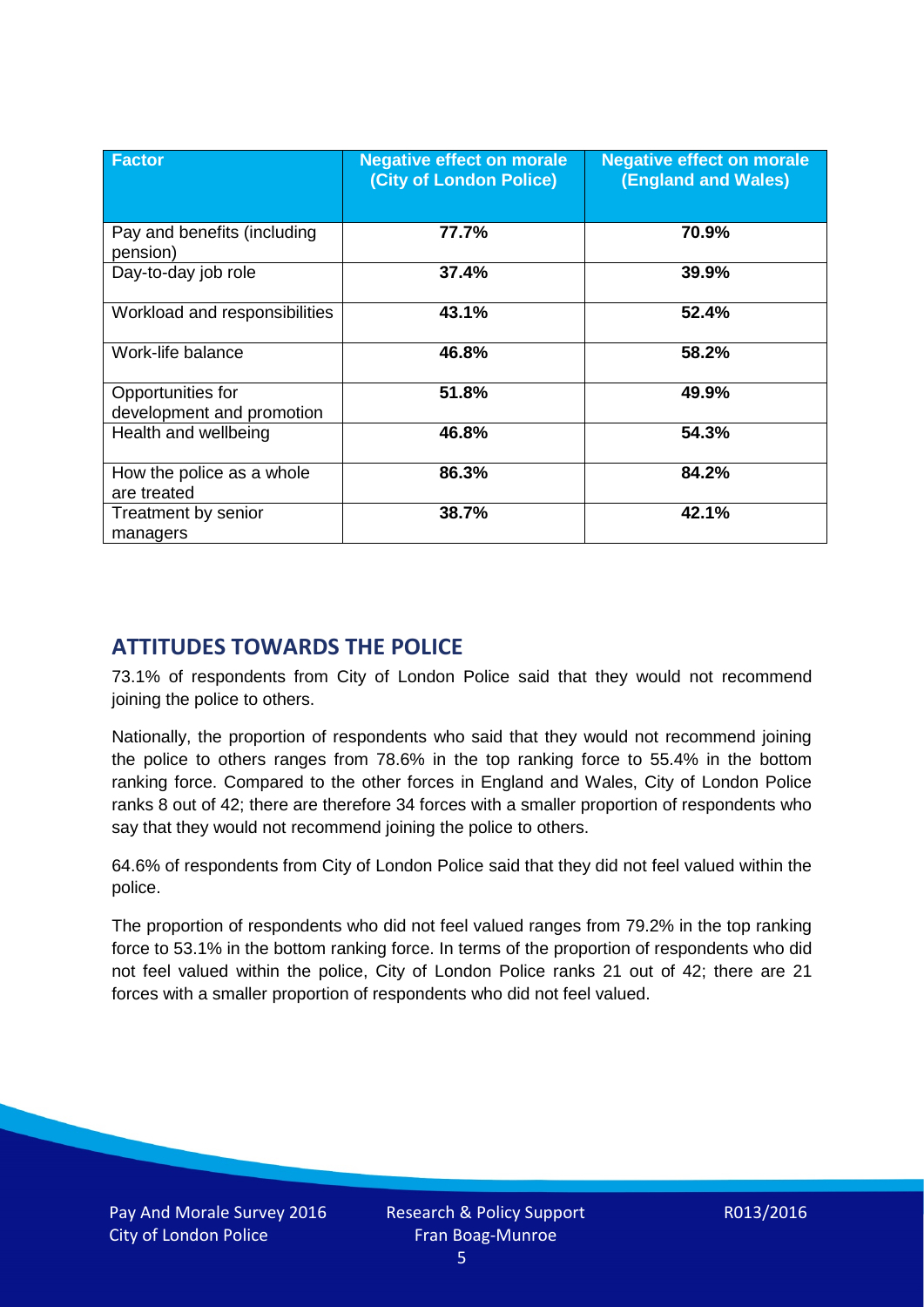| <b>Factor</b>                                  | <b>Negative effect on morale</b><br>(City of London Police) | <b>Negative effect on morale</b><br>(England and Wales) |
|------------------------------------------------|-------------------------------------------------------------|---------------------------------------------------------|
| Pay and benefits (including<br>pension)        | 77.7%                                                       | 70.9%                                                   |
| Day-to-day job role                            | 37.4%                                                       | 39.9%                                                   |
| Workload and responsibilities                  | 43.1%                                                       | 52.4%                                                   |
| Work-life balance                              | 46.8%                                                       | 58.2%                                                   |
| Opportunities for<br>development and promotion | 51.8%                                                       | 49.9%                                                   |
| Health and wellbeing                           | 46.8%                                                       | 54.3%                                                   |
| How the police as a whole<br>are treated       | 86.3%                                                       | 84.2%                                                   |
| Treatment by senior<br>managers                | 38.7%                                                       | 42.1%                                                   |

# **ATTITUDES TOWARDS THE POLICE**

73.1% of respondents from City of London Police said that they would not recommend joining the police to others.

Nationally, the proportion of respondents who said that they would not recommend joining the police to others ranges from 78.6% in the top ranking force to 55.4% in the bottom ranking force. Compared to the other forces in England and Wales, City of London Police ranks 8 out of 42; there are therefore 34 forces with a smaller proportion of respondents who say that they would not recommend joining the police to others.

64.6% of respondents from City of London Police said that they did not feel valued within the police.

The proportion of respondents who did not feel valued ranges from 79.2% in the top ranking force to 53.1% in the bottom ranking force. In terms of the proportion of respondents who did not feel valued within the police, City of London Police ranks 21 out of 42; there are 21 forces with a smaller proportion of respondents who did not feel valued.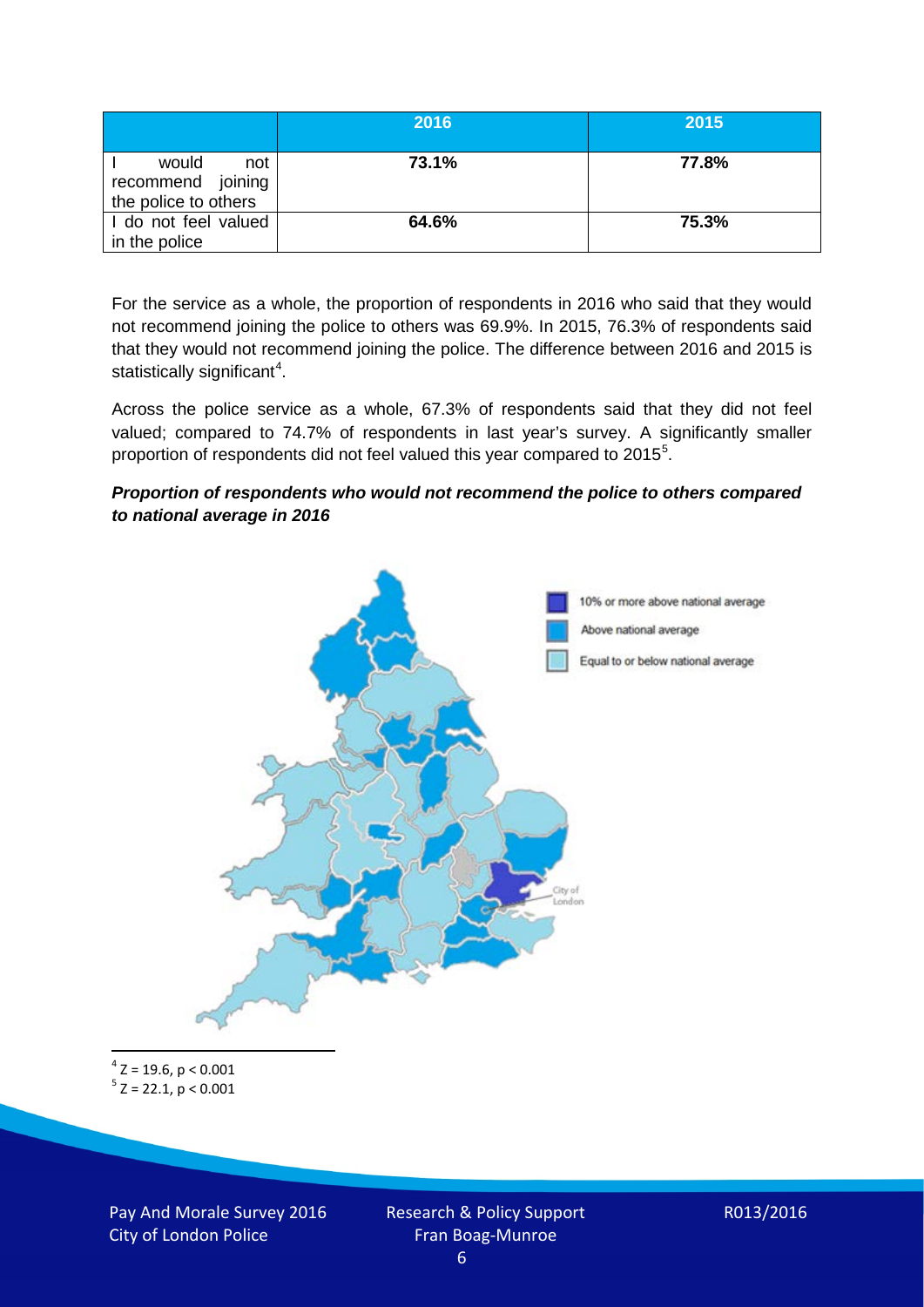|                                                           | 2016  | 2015  |
|-----------------------------------------------------------|-------|-------|
| would<br>not<br>recommend joining<br>the police to others | 73.1% | 77.8% |
| I do not feel valued<br>in the police                     | 64.6% | 75.3% |

For the service as a whole, the proportion of respondents in 2016 who said that they would not recommend joining the police to others was 69.9%. In 2015, 76.3% of respondents said that they would not recommend joining the police. The difference between 2016 and 2015 is statistically significant<sup>[4](#page-5-0)</sup>.

Across the police service as a whole, 67.3% of respondents said that they did not feel valued; compared to 74.7% of respondents in last year's survey. A significantly smaller proportion of respondents did not feel valued this year compared to 201[5](#page-5-1)<sup>5</sup>.

#### *Proportion of respondents who would not recommend the police to others compared to national average in 2016*



<span id="page-5-1"></span><span id="page-5-0"></span> $4$  Z = 19.6, p < 0.001  $5$  Z = 22.1, p < 0.001

Pay And Morale Survey 2016 City of London Police

Research & Policy Support Fran Boag-Munroe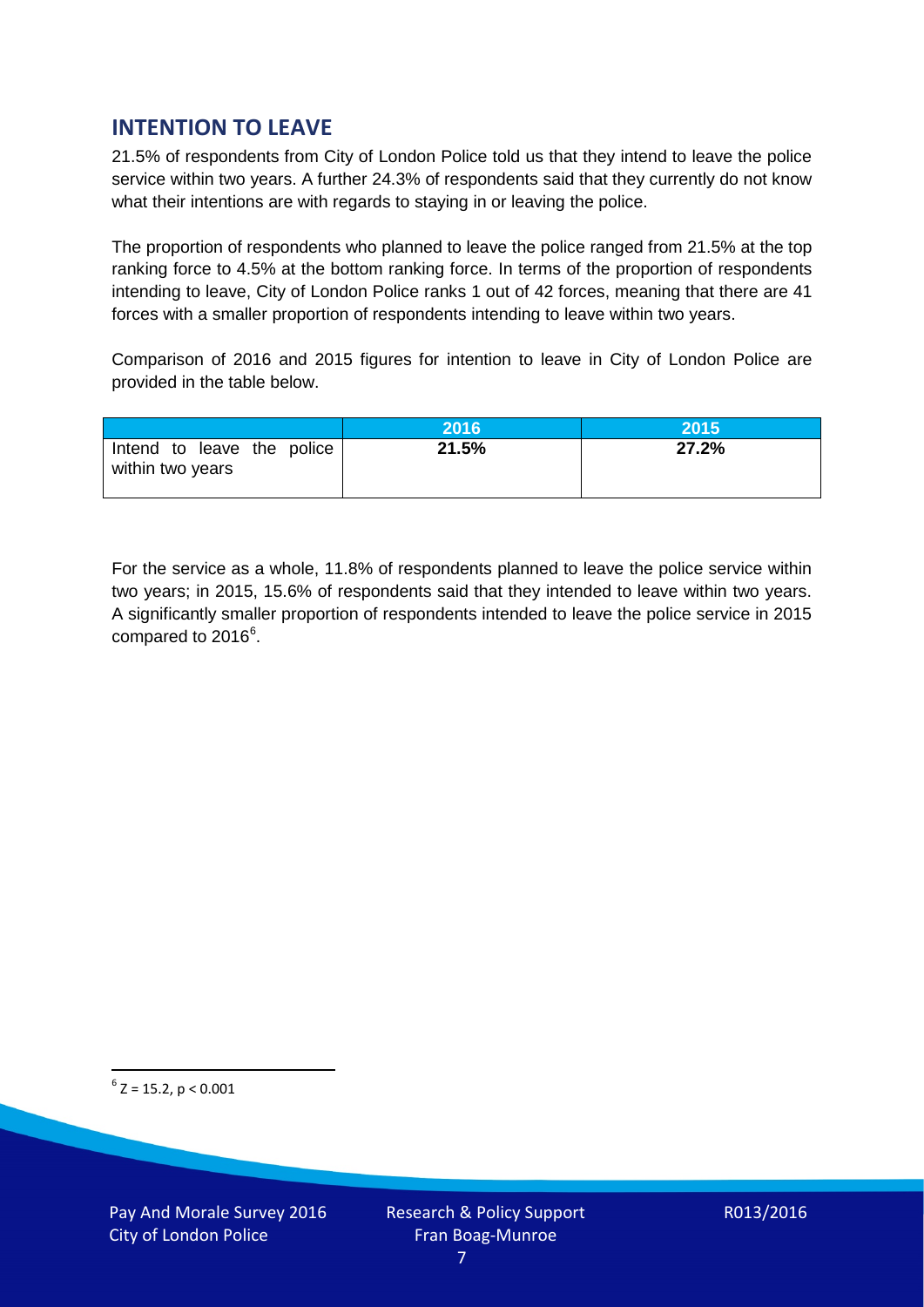# **INTENTION TO LEAVE**

21.5% of respondents from City of London Police told us that they intend to leave the police service within two years. A further 24.3% of respondents said that they currently do not know what their intentions are with regards to staying in or leaving the police.

The proportion of respondents who planned to leave the police ranged from 21.5% at the top ranking force to 4.5% at the bottom ranking force. In terms of the proportion of respondents intending to leave, City of London Police ranks 1 out of 42 forces, meaning that there are 41 forces with a smaller proportion of respondents intending to leave within two years.

Comparison of 2016 and 2015 figures for intention to leave in City of London Police are provided in the table below.

|                                                | 2016  | 2015  |
|------------------------------------------------|-------|-------|
| Intend to leave the police<br>within two years | 21.5% | 27.2% |

For the service as a whole, 11.8% of respondents planned to leave the police service within two years; in 2015, 15.6% of respondents said that they intended to leave within two years. A significantly smaller proportion of respondents intended to leave the police service in 2015 compared to 201[6](#page-6-0)<sup>6</sup>.

<span id="page-6-0"></span> $6$  Z = 15.2, p < 0.001

Pay And Morale Survey 2016 City of London Police

Research & Policy Support Fran Boag-Munroe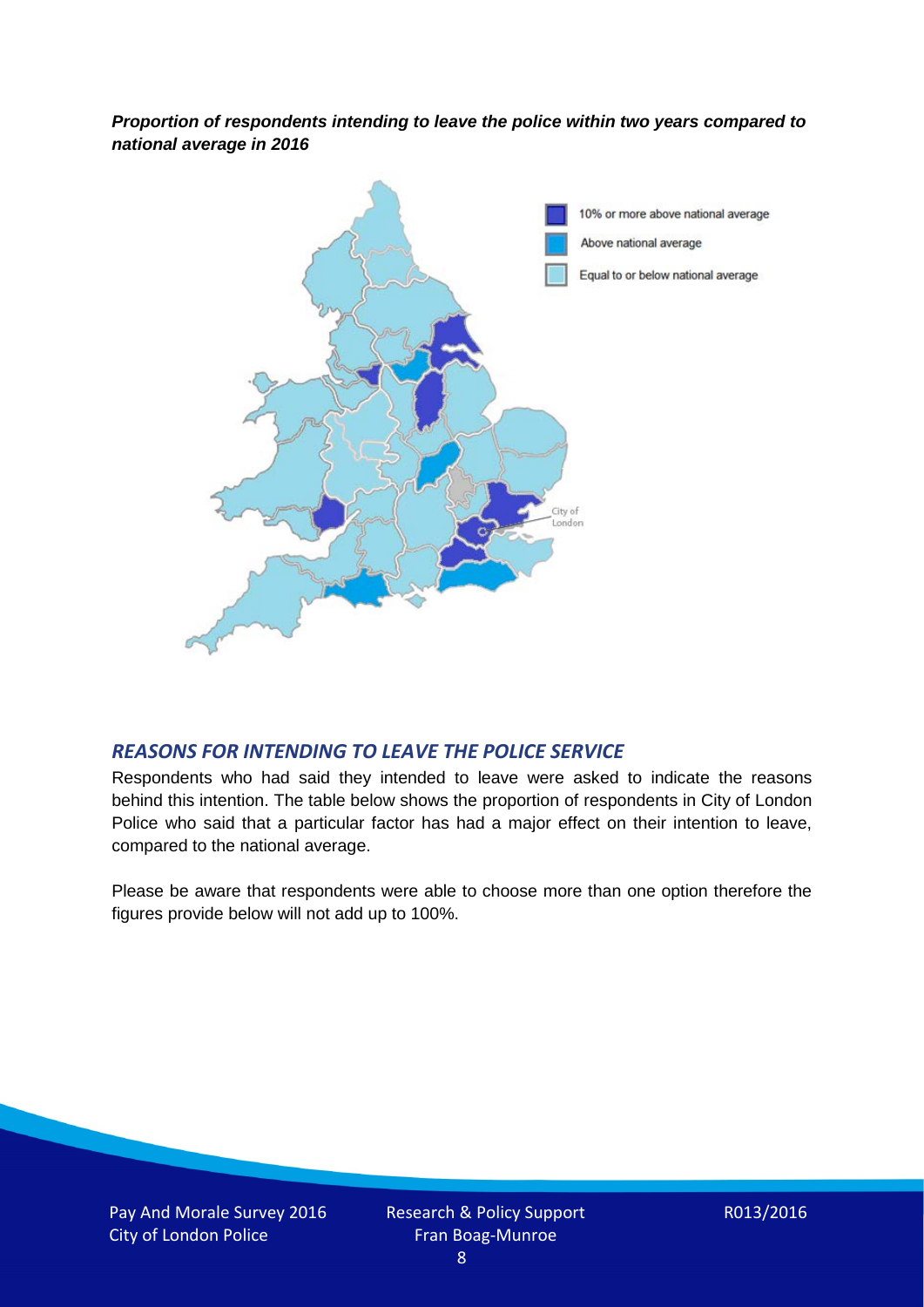*Proportion of respondents intending to leave the police within two years compared to national average in 2016*



### *REASONS FOR INTENDING TO LEAVE THE POLICE SERVICE*

Respondents who had said they intended to leave were asked to indicate the reasons behind this intention. The table below shows the proportion of respondents in City of London Police who said that a particular factor has had a major effect on their intention to leave, compared to the national average.

Please be aware that respondents were able to choose more than one option therefore the figures provide below will not add up to 100%.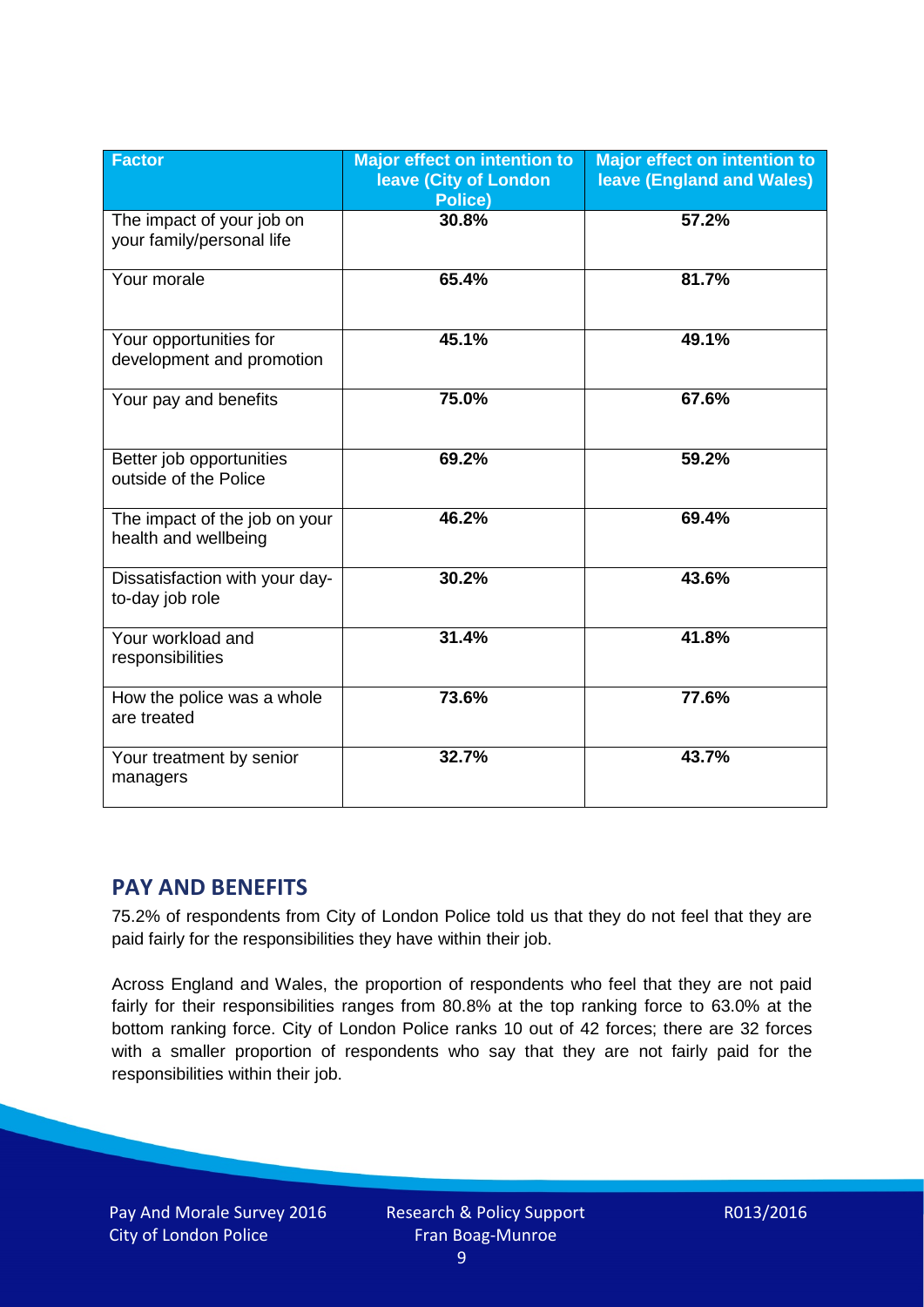| <b>Factor</b>                                          | <b>Major effect on intention to</b><br>leave (City of London<br>Police) | <b>Major effect on intention to</b><br><b>leave (England and Wales)</b> |
|--------------------------------------------------------|-------------------------------------------------------------------------|-------------------------------------------------------------------------|
| The impact of your job on<br>your family/personal life | 30.8%                                                                   | 57.2%                                                                   |
| Your morale                                            | 65.4%                                                                   | 81.7%                                                                   |
| Your opportunities for<br>development and promotion    | 45.1%                                                                   | 49.1%                                                                   |
| Your pay and benefits                                  | 75.0%                                                                   | 67.6%                                                                   |
| Better job opportunities<br>outside of the Police      | 69.2%                                                                   | 59.2%                                                                   |
| The impact of the job on your<br>health and wellbeing  | 46.2%                                                                   | 69.4%                                                                   |
| Dissatisfaction with your day-<br>to-day job role      | 30.2%                                                                   | 43.6%                                                                   |
| Your workload and<br>responsibilities                  | 31.4%                                                                   | 41.8%                                                                   |
| How the police was a whole<br>are treated              | 73.6%                                                                   | 77.6%                                                                   |
| Your treatment by senior<br>managers                   | 32.7%                                                                   | 43.7%                                                                   |

# **PAY AND BENEFITS**

75.2% of respondents from City of London Police told us that they do not feel that they are paid fairly for the responsibilities they have within their job.

Across England and Wales, the proportion of respondents who feel that they are not paid fairly for their responsibilities ranges from 80.8% at the top ranking force to 63.0% at the bottom ranking force. City of London Police ranks 10 out of 42 forces; there are 32 forces with a smaller proportion of respondents who say that they are not fairly paid for the responsibilities within their job.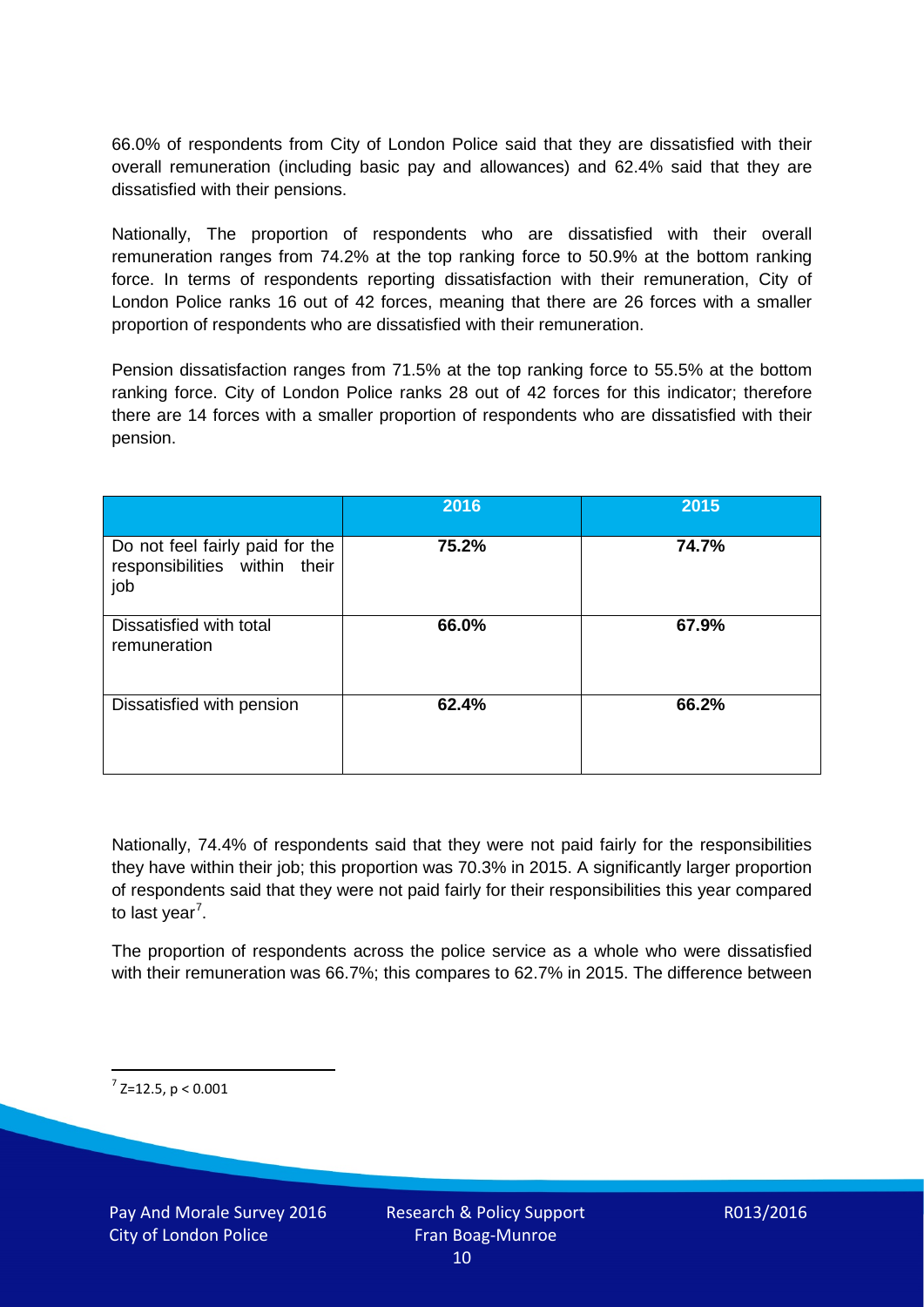66.0% of respondents from City of London Police said that they are dissatisfied with their overall remuneration (including basic pay and allowances) and 62.4% said that they are dissatisfied with their pensions.

Nationally, The proportion of respondents who are dissatisfied with their overall remuneration ranges from 74.2% at the top ranking force to 50.9% at the bottom ranking force. In terms of respondents reporting dissatisfaction with their remuneration, City of London Police ranks 16 out of 42 forces, meaning that there are 26 forces with a smaller proportion of respondents who are dissatisfied with their remuneration.

Pension dissatisfaction ranges from 71.5% at the top ranking force to 55.5% at the bottom ranking force. City of London Police ranks 28 out of 42 forces for this indicator; therefore there are 14 forces with a smaller proportion of respondents who are dissatisfied with their pension.

|                                                                         | 2016  | 2015  |
|-------------------------------------------------------------------------|-------|-------|
| Do not feel fairly paid for the<br>responsibilities within their<br>job | 75.2% | 74.7% |
| Dissatisfied with total<br>remuneration                                 | 66.0% | 67.9% |
| Dissatisfied with pension                                               | 62.4% | 66.2% |

Nationally, 74.4% of respondents said that they were not paid fairly for the responsibilities they have within their job; this proportion was 70.3% in 2015. A significantly larger proportion of respondents said that they were not paid fairly for their responsibilities this year compared to last year<sup>[7](#page-9-0)</sup>.

The proportion of respondents across the police service as a whole who were dissatisfied with their remuneration was 66.7%; this compares to 62.7% in 2015. The difference between

<span id="page-9-0"></span> $7$  Z=12.5, p < 0.001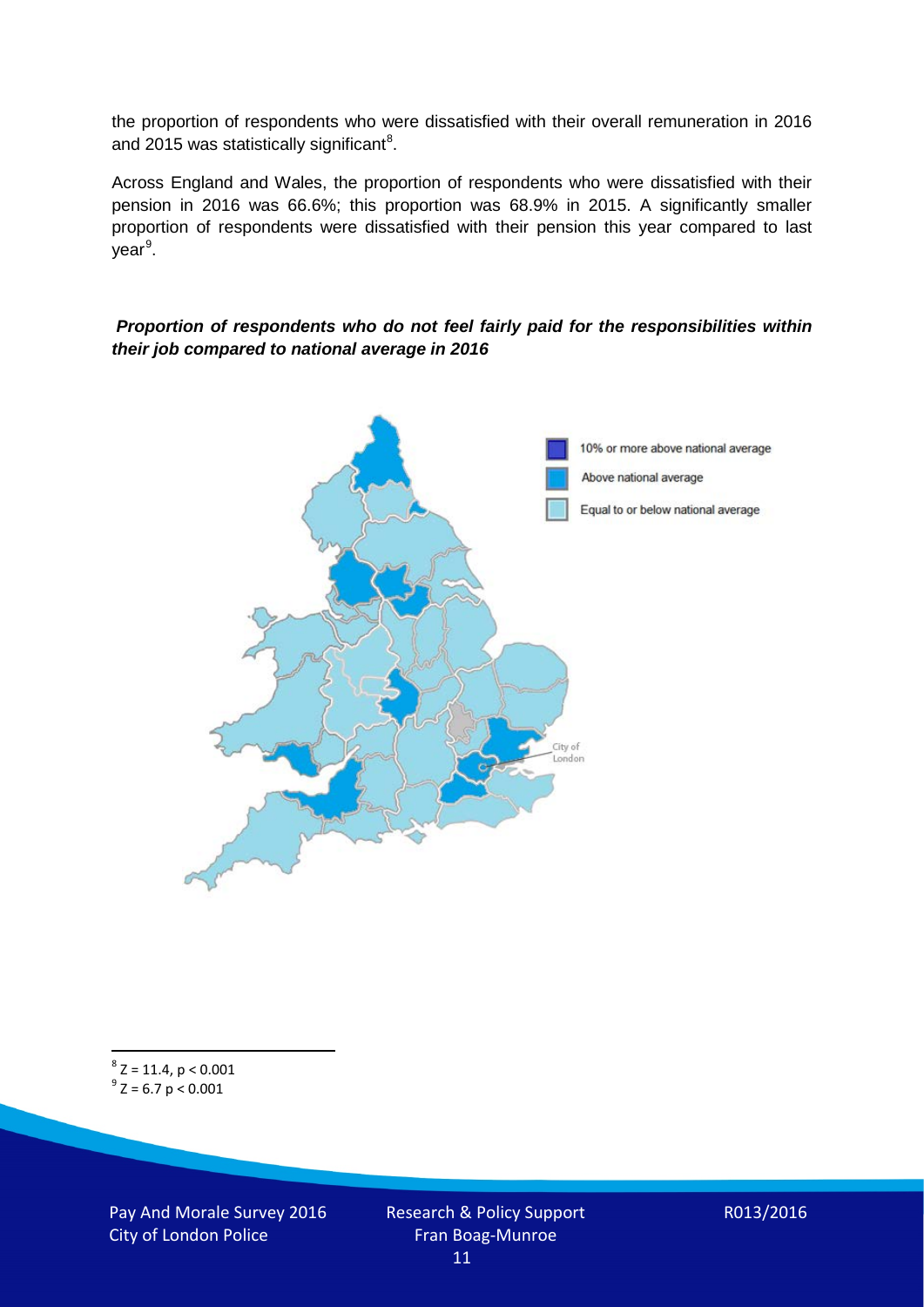the proportion of respondents who were dissatisfied with their overall remuneration in 2016 and 2015 was statistically significant<sup>[8](#page-10-0)</sup>.

Across England and Wales, the proportion of respondents who were dissatisfied with their pension in 2016 was 66.6%; this proportion was 68.9% in 2015. A significantly smaller proportion of respondents were dissatisfied with their pension this year compared to last year<sup>[9](#page-10-1)</sup>.

#### *Proportion of respondents who do not feel fairly paid for the responsibilities within their job compared to national average in 2016*



<span id="page-10-1"></span><span id="page-10-0"></span> $8$  Z = 11.4, p < 0.001  $9^{\circ}$  Z = 6.7 p < 0.001